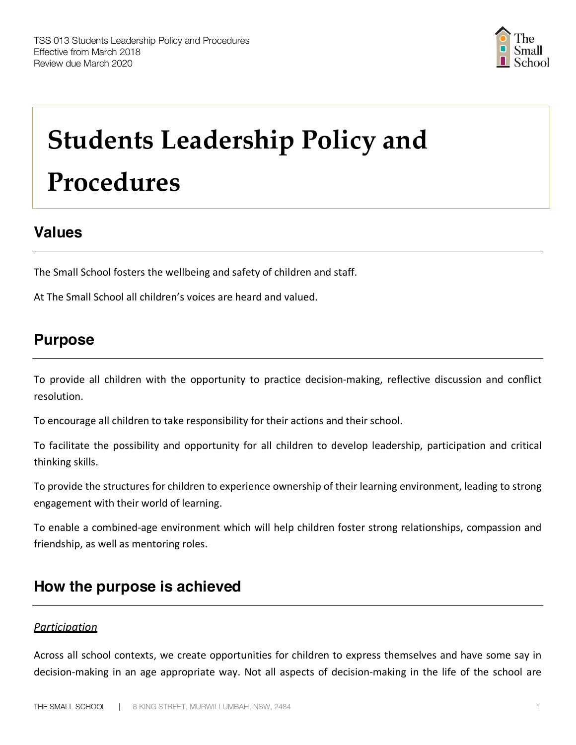

# **Students Leadership Policy and Procedures**

## **Values**

The Small School fosters the wellbeing and safety of children and staff.

At The Small School all children's voices are heard and valued.

## **Purpose**

To provide all children with the opportunity to practice decision-making, reflective discussion and conflict resolution.

To encourage all children to take responsibility for their actions and their school.

To facilitate the possibility and opportunity for all children to develop leadership, participation and critical thinking skills.

To provide the structures for children to experience ownership of their learning environment, leading to strong engagement with their world of learning.

To enable a combined-age environment which will help children foster strong relationships, compassion and friendship, as well as mentoring roles.

## **How the purpose is achieved**

### *Participation*

Across all school contexts, we create opportunities for children to express themselves and have some say in decision-making in an age appropriate way. Not all aspects of decision-making in the life of the school are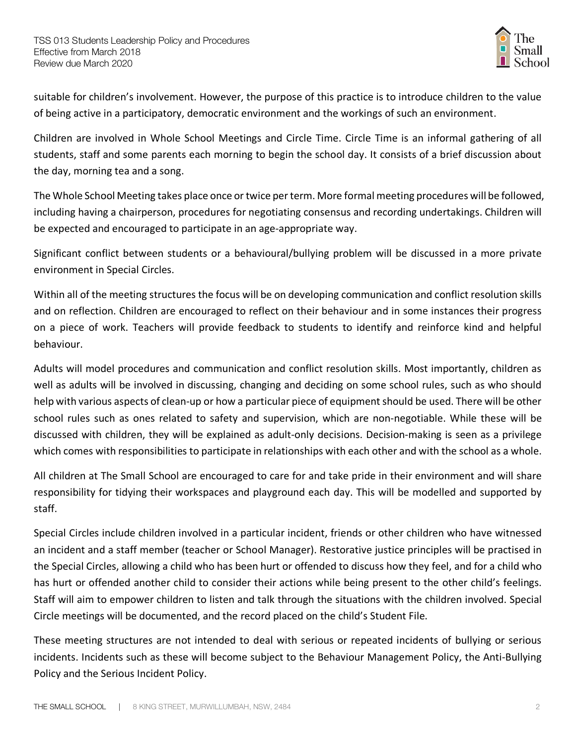

suitable for children's involvement. However, the purpose of this practice is to introduce children to the value of being active in a participatory, democratic environment and the workings of such an environment.

Children are involved in Whole School Meetings and Circle Time. Circle Time is an informal gathering of all students, staff and some parents each morning to begin the school day. It consists of a brief discussion about the day, morning tea and a song.

The Whole School Meeting takes place once or twice per term. More formal meeting procedures will be followed, including having a chairperson, procedures for negotiating consensus and recording undertakings. Children will be expected and encouraged to participate in an age-appropriate way.

Significant conflict between students or a behavioural/bullying problem will be discussed in a more private environment in Special Circles.

Within all of the meeting structures the focus will be on developing communication and conflict resolution skills and on reflection. Children are encouraged to reflect on their behaviour and in some instances their progress on a piece of work. Teachers will provide feedback to students to identify and reinforce kind and helpful behaviour.

Adults will model procedures and communication and conflict resolution skills. Most importantly, children as well as adults will be involved in discussing, changing and deciding on some school rules, such as who should help with various aspects of clean-up or how a particular piece of equipment should be used. There will be other school rules such as ones related to safety and supervision, which are non-negotiable. While these will be discussed with children, they will be explained as adult-only decisions. Decision-making is seen as a privilege which comes with responsibilities to participate in relationships with each other and with the school as a whole.

All children at The Small School are encouraged to care for and take pride in their environment and will share responsibility for tidying their workspaces and playground each day. This will be modelled and supported by staff.

Special Circles include children involved in a particular incident, friends or other children who have witnessed an incident and a staff member (teacher or School Manager). Restorative justice principles will be practised in the Special Circles, allowing a child who has been hurt or offended to discuss how they feel, and for a child who has hurt or offended another child to consider their actions while being present to the other child's feelings. Staff will aim to empower children to listen and talk through the situations with the children involved. Special Circle meetings will be documented, and the record placed on the child's Student File.

These meeting structures are not intended to deal with serious or repeated incidents of bullying or serious incidents. Incidents such as these will become subject to the Behaviour Management Policy, the Anti-Bullying Policy and the Serious Incident Policy.